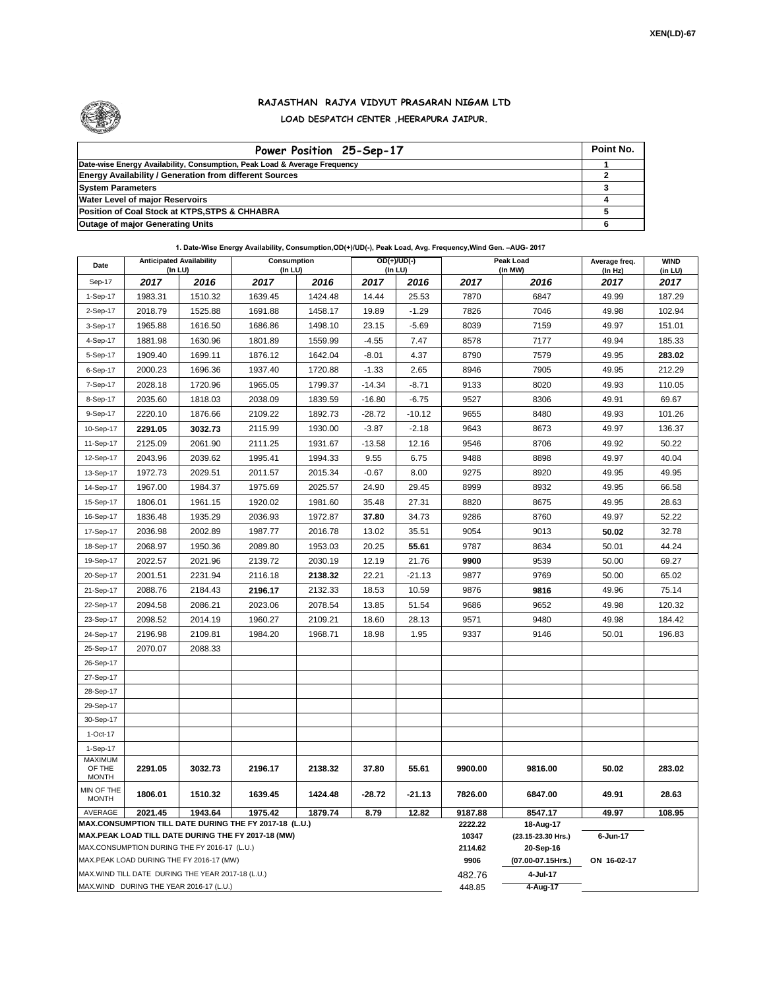

## **RAJASTHAN RAJYA VIDYUT PRASARAN NIGAM LTD LOAD DESPATCH CENTER ,HEERAPURA JAIPUR.**

| Power Position 25-Sep-17                                                  | Point No. |
|---------------------------------------------------------------------------|-----------|
| Date-wise Energy Availability, Consumption, Peak Load & Average Frequency |           |
| <b>Energy Availability / Generation from different Sources</b>            |           |
| <b>System Parameters</b>                                                  |           |
| <b>Water Level of major Reservoirs</b>                                    |           |
| Position of Coal Stock at KTPS, STPS & CHHABRA                            |           |
| <b>Outage of major Generating Units</b>                                   |           |

**1. Date-Wise Energy Availability, Consumption,OD(+)/UD(-), Peak Load, Avg. Frequency,Wind Gen. –AUG- 2017**

| Date                                                                                                         | <b>Anticipated Availability</b><br>(In LU) |                                                   | Consumption<br>(In LU) |                    | OD(+)/UD(-)<br>$($ In LU $)$ |                   |         | Peak Load<br>(In MW)            | Average freq.<br>(In Hz) | <b>WIND</b><br>(in LU) |  |  |  |
|--------------------------------------------------------------------------------------------------------------|--------------------------------------------|---------------------------------------------------|------------------------|--------------------|------------------------------|-------------------|---------|---------------------------------|--------------------------|------------------------|--|--|--|
| Sep-17                                                                                                       | 2017                                       | 2016                                              | 2017                   | 2016               | 2017                         | 2016              | 2017    | 2016                            | 2017                     | 2017                   |  |  |  |
| 1-Sep-17                                                                                                     | 1983.31                                    | 1510.32                                           | 1639.45                | 1424.48            | 14.44                        | 25.53             | 7870    | 6847                            | 49.99                    | 187.29                 |  |  |  |
| 2-Sep-17                                                                                                     | 2018.79                                    | 1525.88                                           | 1691.88                | 1458.17            | 19.89                        | $-1.29$           | 7826    | 7046                            | 49.98                    | 102.94                 |  |  |  |
| 3-Sep-17                                                                                                     | 1965.88                                    | 1616.50                                           | 1686.86                | 1498.10            | 23.15                        | $-5.69$           | 8039    | 7159                            | 49.97                    | 151.01                 |  |  |  |
| 4-Sep-17                                                                                                     | 1881.98                                    | 1630.96                                           | 1801.89                | 1559.99            | $-4.55$                      | 7.47              | 8578    | 7177                            | 49.94                    | 185.33                 |  |  |  |
| 5-Sep-17                                                                                                     | 1909.40                                    | 1699.11                                           | 1876.12                | 1642.04            | $-8.01$                      | 4.37              | 8790    | 7579                            | 49.95                    | 283.02                 |  |  |  |
| 6-Sep-17                                                                                                     | 2000.23                                    | 1696.36                                           | 1937.40                | 1720.88            | $-1.33$                      | 2.65              | 8946    | 7905                            | 49.95                    | 212.29                 |  |  |  |
| 7-Sep-17                                                                                                     | 2028.18                                    | 1720.96                                           | 1965.05                | 1799.37            | $-14.34$                     | $-8.71$           | 9133    | 8020                            | 49.93                    | 110.05                 |  |  |  |
| 8-Sep-17                                                                                                     | 2035.60                                    | 1818.03                                           | 2038.09                | 1839.59            | $-16.80$                     | $-6.75$           | 9527    | 8306                            | 49.91                    | 69.67                  |  |  |  |
| 9-Sep-17                                                                                                     | 2220.10                                    | 1876.66                                           | 2109.22                | 1892.73            | $-28.72$                     | $-10.12$          | 9655    | 8480                            | 49.93                    | 101.26                 |  |  |  |
| 10-Sep-17                                                                                                    | 2291.05                                    | 3032.73                                           | 2115.99                | 1930.00            | $-3.87$                      | $-2.18$           | 9643    | 8673                            | 49.97                    | 136.37                 |  |  |  |
| 11-Sep-17                                                                                                    | 2125.09                                    | 2061.90                                           | 2111.25                | 1931.67            | $-13.58$                     | 12.16             | 9546    | 8706                            | 49.92                    | 50.22                  |  |  |  |
| 12-Sep-17                                                                                                    | 2043.96                                    | 2039.62                                           | 1995.41                | 1994.33            | 9.55                         | 6.75              | 9488    | 8898                            | 49.97                    | 40.04                  |  |  |  |
| 13-Sep-17                                                                                                    | 1972.73                                    | 2029.51                                           | 2011.57                | 2015.34            | $-0.67$                      | 8.00              | 9275    | 8920                            | 49.95                    | 49.95                  |  |  |  |
| 14-Sep-17                                                                                                    | 1967.00                                    | 1984.37                                           | 1975.69                | 2025.57            | 24.90                        | 29.45             | 8999    | 8932                            | 49.95                    | 66.58                  |  |  |  |
| 15-Sep-17                                                                                                    | 1806.01                                    | 1961.15                                           | 1920.02                | 1981.60            | 35.48                        | 27.31             | 8820    | 8675                            | 49.95                    | 28.63                  |  |  |  |
| 16-Sep-17                                                                                                    | 1836.48                                    | 1935.29                                           | 2036.93                | 1972.87            | 37.80                        | 34.73             | 9286    | 8760                            | 49.97                    | 52.22                  |  |  |  |
| 17-Sep-17                                                                                                    | 2036.98                                    | 2002.89                                           | 1987.77                | 2016.78            | 13.02                        | 35.51             | 9054    | 9013                            | 50.02                    | 32.78                  |  |  |  |
| 18-Sep-17                                                                                                    | 2068.97                                    | 1950.36                                           | 2089.80                | 1953.03            | 20.25                        | 55.61             | 9787    | 8634                            | 50.01                    | 44.24                  |  |  |  |
| 19-Sep-17                                                                                                    | 2022.57                                    | 2021.96                                           | 2139.72                | 2030.19            | 12.19                        | 21.76             | 9900    | 9539                            | 50.00                    | 69.27                  |  |  |  |
| 20-Sep-17                                                                                                    | 2001.51                                    | 2231.94                                           | 2116.18                | 2138.32            | 22.21                        | $-21.13$          | 9877    | 9769                            | 50.00                    | 65.02                  |  |  |  |
| 21-Sep-17                                                                                                    | 2088.76                                    | 2184.43                                           | 2196.17                | 2132.33            | 18.53                        | 10.59             | 9876    | 9816                            | 49.96                    | 75.14                  |  |  |  |
| 22-Sep-17                                                                                                    | 2094.58                                    | 2086.21                                           | 2023.06                | 2078.54            | 13.85                        | 51.54             | 9686    | 9652                            | 49.98                    | 120.32                 |  |  |  |
| 23-Sep-17                                                                                                    | 2098.52                                    | 2014.19                                           | 1960.27                | 2109.21            | 18.60                        | 28.13             | 9571    | 9480                            | 49.98                    | 184.42                 |  |  |  |
| 24-Sep-17                                                                                                    | 2196.98                                    | 2109.81                                           | 1984.20                | 1968.71            | 18.98                        | 1.95              | 9337    | 9146                            | 50.01                    | 196.83                 |  |  |  |
| 25-Sep-17                                                                                                    | 2070.07                                    | 2088.33                                           |                        |                    |                              |                   |         |                                 |                          |                        |  |  |  |
| 26-Sep-17                                                                                                    |                                            |                                                   |                        |                    |                              |                   |         |                                 |                          |                        |  |  |  |
| 27-Sep-17                                                                                                    |                                            |                                                   |                        |                    |                              |                   |         |                                 |                          |                        |  |  |  |
| 28-Sep-17                                                                                                    |                                            |                                                   |                        |                    |                              |                   |         |                                 |                          |                        |  |  |  |
| 29-Sep-17                                                                                                    |                                            |                                                   |                        |                    |                              |                   |         |                                 |                          |                        |  |  |  |
| 30-Sep-17                                                                                                    |                                            |                                                   |                        |                    |                              |                   |         |                                 |                          |                        |  |  |  |
| 1-Oct-17                                                                                                     |                                            |                                                   |                        |                    |                              |                   |         |                                 |                          |                        |  |  |  |
| 1-Sep-17                                                                                                     |                                            |                                                   |                        |                    |                              |                   |         |                                 |                          |                        |  |  |  |
| <b>MAXIMUM</b><br>OF THE                                                                                     | 2291.05                                    | 3032.73                                           | 2196.17                | 2138.32            | 37.80                        | 55.61             | 9900.00 | 9816.00                         | 50.02                    | 283.02                 |  |  |  |
| <b>MONTH</b>                                                                                                 |                                            |                                                   |                        |                    |                              |                   |         |                                 |                          |                        |  |  |  |
| MIN OF THE<br><b>MONTH</b>                                                                                   | 1806.01                                    | 1510.32                                           | 1639.45                | 1424.48<br>1879.74 | $-28.72$<br>8.79             | $-21.13$<br>12.82 | 7826.00 | 6847.00                         | 49.91                    | 28.63                  |  |  |  |
| AVERAGE                                                                                                      | 2021.45                                    | 1943.64                                           | 1975.42                | 9187.88<br>2222.22 | 8547.17                      | 49.97             | 108.95  |                                 |                          |                        |  |  |  |
| MAX.CONSUMPTION TILL DATE DURING THE FY 2017-18 (L.U.)<br>MAX.PEAK LOAD TILL DATE DURING THE FY 2017-18 (MW) |                                            |                                                   |                        |                    |                              |                   |         | 18-Aug-17<br>(23.15-23.30 Hrs.) | 6-Jun-17                 |                        |  |  |  |
|                                                                                                              |                                            | MAX.CONSUMPTION DURING THE FY 2016-17 (L.U.)      |                        | 10347<br>2114.62   | 20-Sep-16                    |                   |         |                                 |                          |                        |  |  |  |
|                                                                                                              |                                            | MAX.PEAK LOAD DURING THE FY 2016-17 (MW)          |                        |                    |                              |                   | 9906    | (07.00-07.15Hrs.)               | ON 16-02-17              |                        |  |  |  |
|                                                                                                              |                                            | MAX.WIND TILL DATE DURING THE YEAR 2017-18 (L.U.) |                        |                    |                              |                   | 482.76  | 4-Jul-17                        |                          |                        |  |  |  |
| MAX.WIND DURING THE YEAR 2016-17 (L.U.)                                                                      |                                            |                                                   |                        |                    |                              |                   |         | 4-Aug-17                        |                          |                        |  |  |  |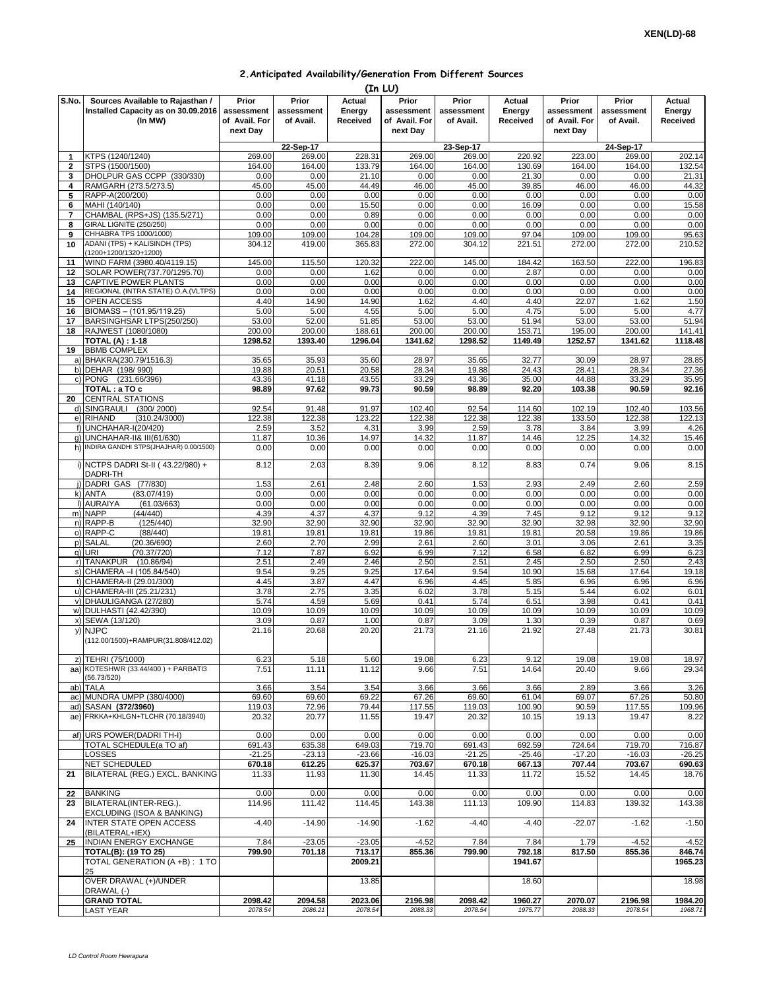## **2.Anticipated Availability/Generation From Different Sources**

|              | (In LU)                                                                            |                                                  |                                  |                              |                                                  |                                  |                              |                                                  |                                  |                              |  |  |
|--------------|------------------------------------------------------------------------------------|--------------------------------------------------|----------------------------------|------------------------------|--------------------------------------------------|----------------------------------|------------------------------|--------------------------------------------------|----------------------------------|------------------------------|--|--|
| S.No.        | Sources Available to Rajasthan /<br>Installed Capacity as on 30.09.2016<br>(In MW) | Prior<br>assessment<br>of Avail. For<br>next Day | Prior<br>assessment<br>of Avail. | Actual<br>Energy<br>Received | Prior<br>assessment<br>of Avail. For<br>next Day | Prior<br>assessment<br>of Avail. | Actual<br>Energy<br>Received | Prior<br>assessment<br>of Avail. For<br>next Day | Prior<br>assessment<br>of Avail. | Actual<br>Energy<br>Received |  |  |
|              |                                                                                    |                                                  | 22-Sep-17                        |                              |                                                  | $23-$ Sep-17                     |                              |                                                  | 24-Sep-17                        |                              |  |  |
| $\mathbf{1}$ | KTPS (1240/1240)                                                                   | 269.00                                           | 269.00                           | 228.31                       | 269.00                                           | 269.00                           | 220.92                       | 223.00                                           | 269.00                           | 202.14                       |  |  |
| 2            | STPS (1500/1500)                                                                   | 164.00                                           | 164.00                           | 133.79                       | 164.00                                           | 164.00                           | 130.69                       | 164.00                                           | 164.00                           | 132.54                       |  |  |
| 3            | DHOLPUR GAS CCPP (330/330)                                                         | 0.00                                             | 0.00                             | 21.10                        | 0.00                                             | 0.00                             | 21.30                        | 0.00                                             | 0.00                             | 21.31                        |  |  |
| 4            | RAMGARH (273.5/273.5)                                                              | 45.00                                            | 45.00                            | 44.49                        | 46.00                                            | 45.00                            | 39.85                        | 46.00                                            | 46.00                            | 44.32                        |  |  |
| 5            | RAPP-A(200/200)                                                                    | 0.00                                             | 0.00                             | 0.00                         | 0.00                                             | 0.00                             | 0.00                         | 0.00                                             | 0.00                             | 0.00                         |  |  |
| 6<br>7       | MAHI (140/140)<br>CHAMBAL (RPS+JS) (135.5/271)                                     | 0.00<br>0.00                                     | 0.00<br>0.00                     | 15.50<br>0.89                | 0.00<br>0.00                                     | 0.00<br>0.00                     | 16.09<br>0.00                | 0.00<br>0.00                                     | 0.00<br>0.00                     | 15.58<br>0.00                |  |  |
| 8            | GIRAL LIGNITE (250/250)                                                            | 0.00                                             | 0.00                             | 0.00                         | 0.00                                             | 0.00                             | 0.00                         | 0.00                                             | 0.00                             | 0.00                         |  |  |
| 9            | CHHABRA TPS 1000/1000)                                                             | 109.00                                           | 109.00                           | 104.28                       | 109.00                                           | 109.00                           | 97.04                        | 109.00                                           | 109.00                           | 95.63                        |  |  |
| 10           | ADANI (TPS) + KALISINDH (TPS)<br>(1200+1200/1320+1200)                             | 304.12                                           | 419.00                           | 365.83                       | 272.00                                           | 304.12                           | 221.51                       | 272.00                                           | 272.00                           | 210.52                       |  |  |
| 11           | WIND FARM (3980.40/4119.15)                                                        | 145.00                                           | 115.50                           | 120.32                       | 222.00                                           | 145.00                           | 184.42                       | 163.50                                           | 222.00                           | 196.83                       |  |  |
| 12           | SOLAR POWER(737.70/1295.70)                                                        | 0.00                                             | 0.00                             | 1.62                         | 0.00                                             | 0.00                             | 2.87                         | 0.00                                             | 0.00                             | 0.00                         |  |  |
| 13<br>14     | CAPTIVE POWER PLANTS<br>REGIONAL (INTRA STATE) O.A. (VLTPS)                        | 0.00<br>0.00                                     | 0.00<br>0.00                     | 0.00<br>0.00                 | 0.00<br>0.00                                     | 0.00<br>0.00                     | 0.00<br>0.00                 | 0.00<br>0.00                                     | 0.00<br>0.00                     | 0.00<br>0.00                 |  |  |
| 15           | OPEN ACCESS                                                                        | 4.40                                             | 14.90                            | 14.90                        | 1.62                                             | 4.40                             | 4.40                         | 22.07                                            | 1.62                             | 1.50                         |  |  |
| 16           | BIOMASS - (101.95/119.25)                                                          | 5.00                                             | 5.00                             | 4.55                         | 5.00                                             | 5.00                             | 4.75                         | 5.00                                             | 5.00                             | 4.77                         |  |  |
| 17           | BARSINGHSAR LTPS(250/250)                                                          | 53.00                                            | 52.00                            | 51.85                        | 53.00                                            | 53.00                            | 51.94                        | 53.00                                            | 53.00                            | 51.94                        |  |  |
| 18           | RAJWEST (1080/1080)                                                                | 200.00                                           | 200.00                           | 188.61                       | 200.00                                           | 200.00                           | 153.71                       | 195.00                                           | 200.00                           | 141.41                       |  |  |
|              | <b>TOTAL (A): 1-18</b>                                                             | 1298.52                                          | 1393.40                          | 1296.04                      | 1341.62                                          | 1298.52                          | 1149.49                      | 1252.57                                          | 1341.62                          | 1118.48                      |  |  |
| 19           | <b>BBMB COMPLEX</b>                                                                |                                                  |                                  |                              |                                                  |                                  |                              |                                                  |                                  |                              |  |  |
|              | a) BHAKRA(230.79/1516.3)                                                           | 35.65                                            | 35.93                            | 35.60                        | 28.97                                            | 35.65                            | 32.77                        | 30.09                                            | 28.97                            | 28.85                        |  |  |
|              | b) DEHAR (198/990)<br>c) PONG (231.66/396)                                         | 19.88<br>43.36                                   | 20.51<br>41.18                   | 20.58<br>43.55               | 28.34<br>33.29                                   | 19.88<br>43.36                   | 24.43<br>35.00               | 28.41<br>44.88                                   | 28.34<br>33.29                   | 27.36<br>35.95               |  |  |
|              | TOTAL : a TO c                                                                     | 98.89                                            | 97.62                            | 99.73                        | 90.59                                            | 98.89                            | 92.20                        | 103.38                                           | 90.59                            | 92.16                        |  |  |
| 20           | <b>CENTRAL STATIONS</b>                                                            |                                                  |                                  |                              |                                                  |                                  |                              |                                                  |                                  |                              |  |  |
|              | d) SINGRAULI<br>(300/2000)                                                         | 92.54                                            | 91.48                            | 91.97                        | 102.40                                           | 92.54                            | 114.60                       | 102.19                                           | 102.40                           | 103.56                       |  |  |
|              | e) RIHAND<br>(310.24/3000)                                                         | 122.38                                           | 122.38                           | 123.22                       | 122.38                                           | 122.38                           | 122.38                       | 133.50                                           | 122.38                           | 122.13                       |  |  |
|              | f) UNCHAHAR-I(20/420)                                                              | 2.59                                             | 3.52                             | 4.31                         | 3.99                                             | 2.59                             | 3.78                         | 3.84                                             | 3.99                             | 4.26                         |  |  |
|              | q) UNCHAHAR-II& III(61/630)                                                        | 11.87                                            | 10.36                            | 14.97                        | 14.32                                            | 11.87                            | 14.46                        | 12.25                                            | 14.32                            | 15.46                        |  |  |
|              | h) INDIRA GANDHI STPS(JHAJHAR) 0.00/1500)<br>i) NCTPS DADRI St-II (43.22/980) +    | 0.00<br>8.12                                     | 0.00<br>2.03                     | 0.00<br>8.39                 | 0.00<br>9.06                                     | 0.00<br>8.12                     | 0.00<br>8.83                 | 0.00<br>0.74                                     | 0.00<br>9.06                     | 0.00<br>8.15                 |  |  |
|              | DADRI-TH<br>(77/830)<br>i) DADRI GAS                                               | 1.53                                             | 2.61                             | 2.48                         | 2.60                                             | 1.53                             | 2.93                         | 2.49                                             | 2.60                             | 2.59                         |  |  |
|              | (83.07/419)<br>k) ANTA                                                             | 0.00                                             | 0.00                             | 0.00                         | 0.00                                             | 0.00                             | 0.00                         | 0.00                                             | 0.00                             | 0.00                         |  |  |
|              | I) AURAIYA<br>(61.03/663)                                                          | 0.00                                             | 0.00                             | 0.00                         | 0.00                                             | 0.00                             | 0.00                         | 0.00                                             | 0.00                             | 0.00                         |  |  |
|              | m) NAPP<br>(44/440)                                                                | 4.39                                             | 4.37                             | 4.37                         | 9.12                                             | 4.39                             | 7.45                         | 9.12                                             | 9.12                             | 9.12                         |  |  |
|              | n) RAPP-B<br>(125/440)                                                             | 32.90                                            | 32.90                            | 32.90                        | 32.90                                            | 32.90                            | 32.90                        | 32.98                                            | 32.90                            | 32.90                        |  |  |
|              | o) RAPP-C<br>(88/440)                                                              | 19.81                                            | 19.81                            | 19.81                        | 19.86                                            | 19.81                            | 19.81                        | 20.58                                            | 19.86                            | 19.86                        |  |  |
|              | p) SALAL<br>(20.36/690)<br>q) URI<br>(70.37/720)                                   | 2.60<br>7.12                                     | 2.70<br>7.87                     | 2.99<br>6.92                 | 2.61<br>6.99                                     | 2.60<br>7.12                     | 3.01<br>6.58                 | 3.06<br>6.82                                     | 2.61<br>6.99                     | 3.35<br>6.23                 |  |  |
|              | r) TANAKPUR<br>(10.86/94)                                                          | 2.51                                             | 2.49                             | 2.46                         | 2.50                                             | 2.51                             | 2.45                         | 2.50                                             | 2.50                             | 2.43                         |  |  |
|              | s) CHAMERA - (105.84/540)                                                          | 9.54                                             | 9.25                             | 9.25                         | 17.64                                            | 9.54                             | 10.90                        | 15.68                                            | 17.64                            | 19.18                        |  |  |
|              | t) CHAMERA-II (29.01/300)                                                          | 4.45                                             | 3.87                             | 4.47                         | 6.96                                             | 4.45                             | 5.85                         | 6.96                                             | 6.96                             | 6.96                         |  |  |
|              | u) CHAMERA-III (25.21/231)                                                         | 3.78                                             | 2.75                             | 3.35                         | 6.02                                             | 3.78                             | 5.15                         | 5.44                                             | 6.02                             | 6.01                         |  |  |
|              | v) DHAULIGANGA (27/280)                                                            | 5.74                                             | 4.59                             | 5.69                         | 0.41                                             | 5.74                             | 6.51                         | 3.98                                             | 0.41                             | 0.41                         |  |  |
|              | w) DULHASTI (42.42/390)                                                            | 10.09                                            | 10.09                            | 10.09                        | 10.09                                            | 10.09                            | 10.09                        | 10.09                                            | 10.09                            | 10.09                        |  |  |
|              | x) SEWA (13/120)                                                                   | 3.09                                             | 0.87                             | 1.00                         | 0.87                                             | 3.09                             | 1.30                         | 0.39                                             | 0.87                             | 0.69                         |  |  |
|              | y) NJPC<br>(112.00/1500)+RAMPUR(31.808/412.02)                                     | 21.16                                            | 20.68                            | 20.20                        | 21.73                                            | 21.16                            | 21.92                        | 27.48                                            | 21.73                            | 30.81                        |  |  |
|              | z) TEHRI (75/1000)                                                                 | 6.23                                             | 5.18                             | 5.60                         | 19.08                                            | 6.23                             | 9.12                         | 19.08                                            | 19.08                            | 18.97                        |  |  |
|              | aa) KOTESHWR (33.44/400) + PARBATI3                                                | 7.51                                             | 11.11                            | 11.12                        | 9.66                                             | 7.51                             | 14.64                        | 20.40                                            | 9.66                             | 29.34                        |  |  |
|              | (56.73/520)                                                                        |                                                  |                                  |                              |                                                  |                                  |                              |                                                  |                                  |                              |  |  |
|              | ab) TALA<br>ac) MUNDRA UMPP (380/4000)                                             | 3.66<br>69.60                                    | 3.54<br>69.60                    | 3.54<br>69.22                | 3.66<br>67.26                                    | 3.66<br>69.60                    | 3.66<br>61.04                | 2.89<br>69.07                                    | 3.66<br>67.26                    | 3.26<br>50.80                |  |  |
|              | ad) SASAN (372/3960)                                                               | 119.03                                           | 72.96                            | 79.44                        | 117.55                                           | 119.03                           | 100.90                       | 90.59                                            | 117.55                           | 109.96                       |  |  |
|              | ae) FRKKA+KHLGN+TLCHR (70.18/3940)                                                 | 20.32                                            | 20.77                            | 11.55                        | 19.47                                            | 20.32                            | 10.15                        | 19.13                                            | 19.47                            | 8.22                         |  |  |
|              |                                                                                    |                                                  |                                  |                              |                                                  |                                  |                              |                                                  |                                  |                              |  |  |
|              | af) URS POWER(DADRI TH-I)                                                          | 0.00                                             | 0.00                             | 0.00                         | 0.00                                             | 0.00                             | 0.00                         | 0.00                                             | 0.00                             | 0.00                         |  |  |
|              | TOTAL SCHEDULE(a TO af)                                                            | 691.43                                           | 635.38                           | 649.03                       | 719.70                                           | 691.43                           | 692.59                       | 724.64                                           | 719.70                           | 716.87                       |  |  |
|              | LOSSES                                                                             | $-21.25$                                         | $-23.13$                         | $-23.66$                     | $-16.03$                                         | $-21.25$                         | $-25.46$                     | $-17.20$                                         | $-16.03$                         | $-26.25$                     |  |  |
| 21           | NET SCHEDULED<br>BILATERAL (REG.) EXCL. BANKING                                    | 670.18<br>11.33                                  | 612.25<br>11.93                  | 625.37<br>11.30              | 703.67<br>14.45                                  | 670.18<br>11.33                  | 667.13<br>11.72              | 707.44<br>15.52                                  | 703.67<br>14.45                  | 690.63<br>18.76              |  |  |
|              |                                                                                    |                                                  |                                  |                              |                                                  |                                  |                              |                                                  |                                  |                              |  |  |
| 22           | <b>BANKING</b>                                                                     | 0.00                                             | 0.00                             | 0.00                         | 0.00                                             | 0.00                             | 0.00                         | 0.00                                             | 0.00                             | 0.00                         |  |  |
| 23           | BILATERAL(INTER-REG.).                                                             | 114.96                                           | 111.42                           | 114.45                       | 143.38                                           | 111.13                           | 109.90                       | 114.83                                           | 139.32                           | 143.38                       |  |  |
|              | EXCLUDING (ISOA & BANKING)                                                         |                                                  |                                  |                              |                                                  |                                  |                              |                                                  |                                  |                              |  |  |
| 24<br>25     | <b>INTER STATE OPEN ACCESS</b><br>(BILATERAL+IEX)<br>INDIAN ENERGY EXCHANGE        | $-4.40$<br>7.84                                  | $-14.90$<br>$-23.05$             | $-14.90$<br>$-23.05$         | $-1.62$<br>$-4.52$                               | $-4.40$<br>7.84                  | $-4.40$<br>7.84              | $-22.07$<br>1.79                                 | $-1.62$<br>$-4.52$               | $-1.50$<br>$-4.52$           |  |  |
|              | TOTAL(B): (19 TO 25)                                                               | 799.90                                           | 701.18                           | 713.17                       | 855.36                                           | 799.90                           | 792.18                       | 817.50                                           | 855.36                           | 846.74                       |  |  |
|              | TOTAL GENERATION (A +B) : 1 TO                                                     |                                                  |                                  | 2009.21                      |                                                  |                                  | 1941.67                      |                                                  |                                  | 1965.23                      |  |  |
|              | 25<br>OVER DRAWAL (+)/UNDER                                                        |                                                  |                                  | 13.85                        |                                                  |                                  | 18.60                        |                                                  |                                  | 18.98                        |  |  |
|              | DRAWAL (-)                                                                         |                                                  |                                  |                              |                                                  |                                  |                              |                                                  |                                  |                              |  |  |
|              | <b>GRAND TOTAL</b>                                                                 | 2098.42                                          | 2094.58                          | 2023.06                      | 2196.98                                          | 2098.42                          | 1960.27                      | 2070.07                                          | 2196.98                          | 1984.20                      |  |  |
|              | LAST YEAR                                                                          | 2078.54                                          | 2086.21                          | 2078.54                      | 2088.33                                          | 2078.54                          | 1975.77                      | 2088.33                                          | 2078.54                          | 1968.71                      |  |  |